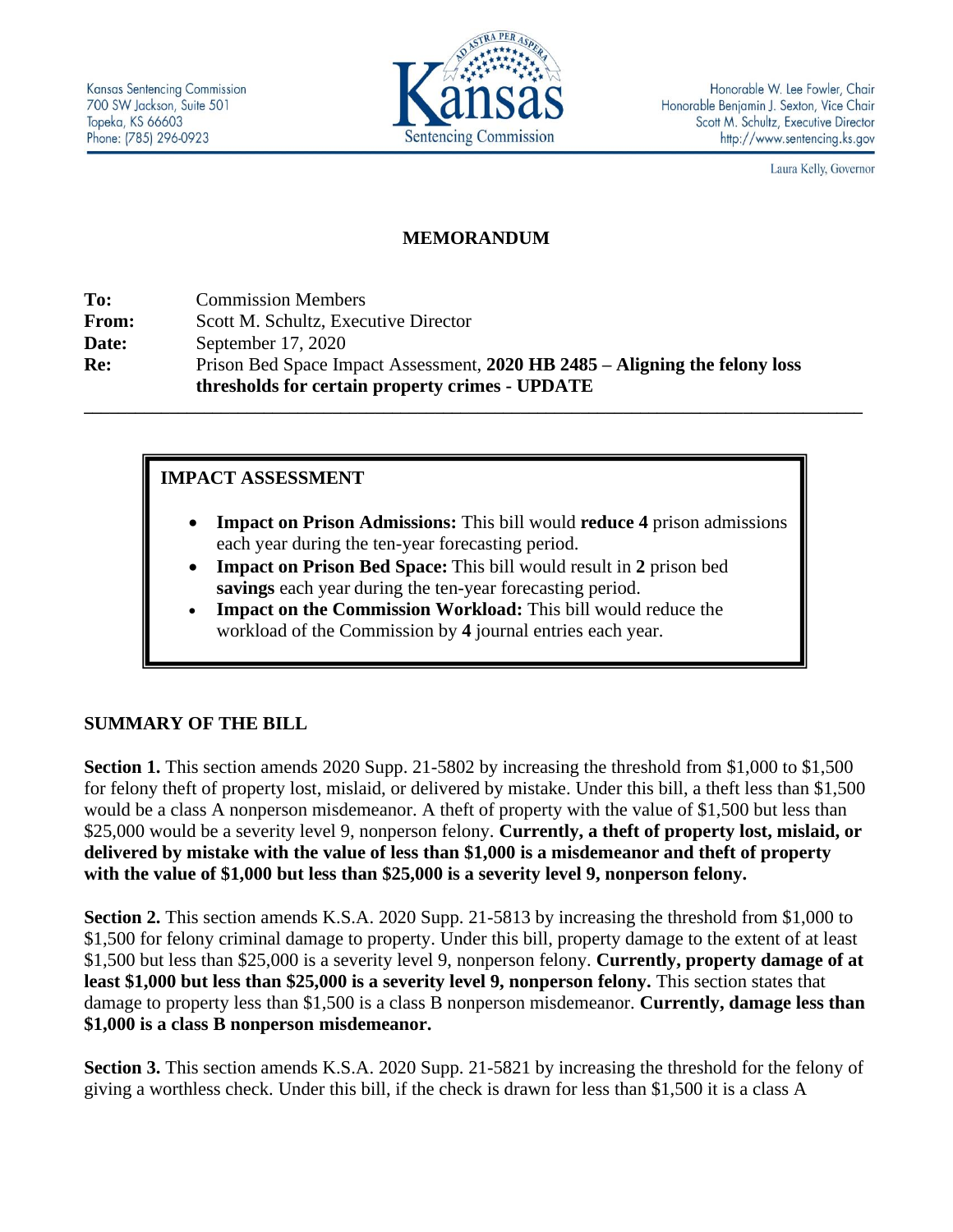

Honorable W. Lee Fowler, Chair Honorable Benjamin J. Sexton, Vice Chair Scott M. Schultz, Executive Director http://www.sentencing.ks.gov

Laura Kelly, Governor

# **MEMORANDUM**

**To:** Commission Members **From:** Scott M. Schultz, Executive Director **Date:** September 17, 2020 **Re:** Prison Bed Space Impact Assessment, **2020 HB 2485 – Aligning the felony loss thresholds for certain property crimes - UPDATE**

# **IMPACT ASSESSMENT**

• **Impact on Prison Admissions:** This bill would **reduce 4** prison admissions each year during the ten-year forecasting period.

**\_\_\_\_\_\_\_\_\_\_\_\_\_\_\_\_\_\_\_\_\_\_\_\_\_\_\_\_\_\_\_\_\_\_\_\_\_\_\_\_\_\_\_\_\_\_\_\_\_\_\_\_\_\_\_\_\_\_\_\_\_\_\_\_\_\_\_\_\_\_\_\_\_\_\_\_\_\_\_\_\_\_\_\_\_\_\_\_\_\_\_**

- **Impact on Prison Bed Space:** This bill would result in **2** prison bed **savings** each year during the ten-year forecasting period.
- **Impact on the Commission Workload:** This bill would reduce the workload of the Commission by **4** journal entries each year.

# **SUMMARY OF THE BILL**

**Section 1.** This section amends 2020 Supp. 21-5802 by increasing the threshold from \$1,000 to \$1,500 for felony theft of property lost, mislaid, or delivered by mistake. Under this bill, a theft less than \$1,500 would be a class A nonperson misdemeanor. A theft of property with the value of \$1,500 but less than \$25,000 would be a severity level 9, nonperson felony. **Currently, a theft of property lost, mislaid, or delivered by mistake with the value of less than \$1,000 is a misdemeanor and theft of property with the value of \$1,000 but less than \$25,000 is a severity level 9, nonperson felony.** 

**Section 2.** This section amends K.S.A. 2020 Supp. 21-5813 by increasing the threshold from \$1,000 to \$1,500 for felony criminal damage to property. Under this bill, property damage to the extent of at least \$1,500 but less than \$25,000 is a severity level 9, nonperson felony. **Currently, property damage of at least \$1,000 but less than \$25,000 is a severity level 9, nonperson felony.** This section states that damage to property less than \$1,500 is a class B nonperson misdemeanor. **Currently, damage less than \$1,000 is a class B nonperson misdemeanor.**

**Section 3.** This section amends K.S.A. 2020 Supp. 21-5821 by increasing the threshold for the felony of giving a worthless check. Under this bill, if the check is drawn for less than \$1,500 it is a class A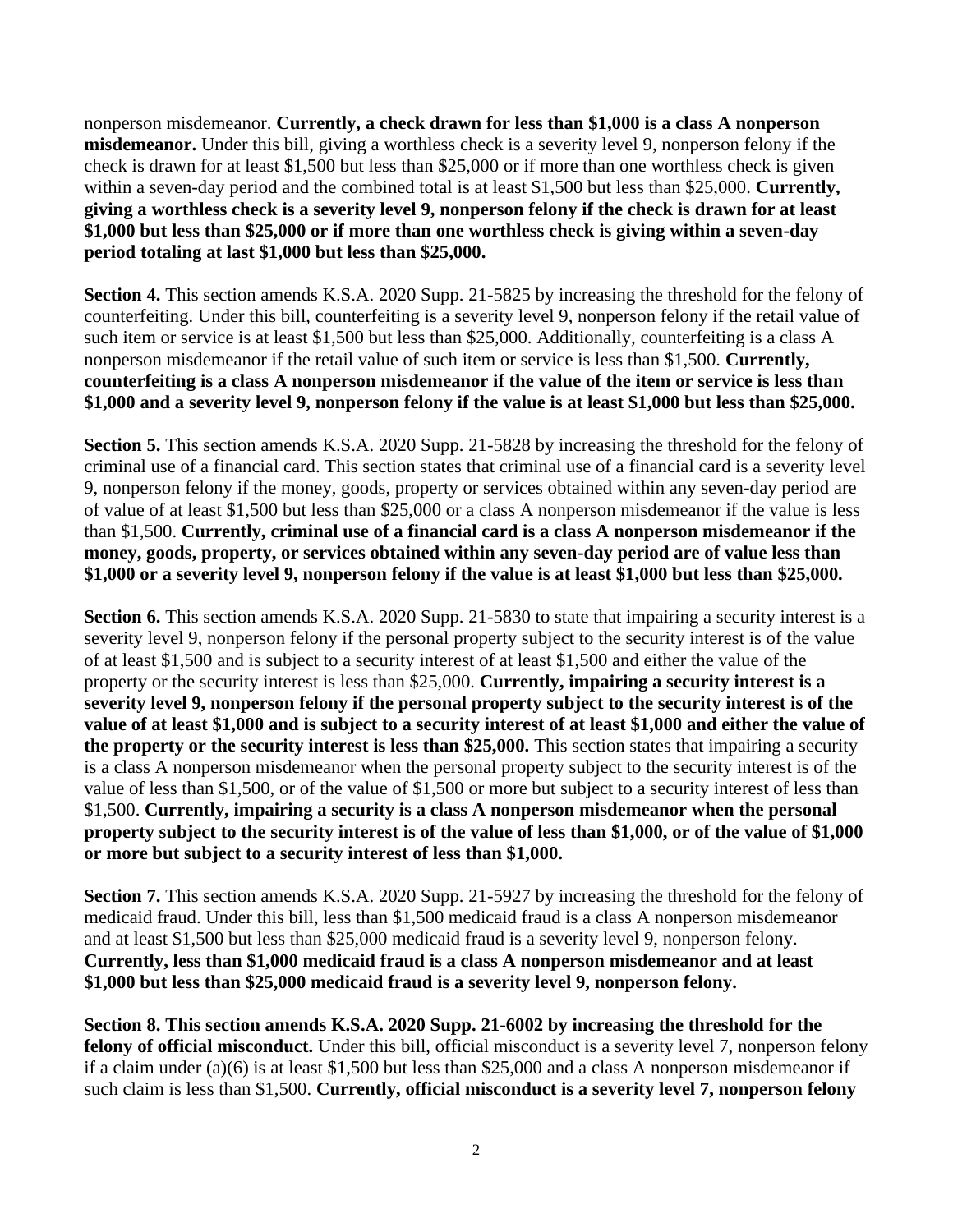nonperson misdemeanor. **Currently, a check drawn for less than \$1,000 is a class A nonperson misdemeanor.** Under this bill, giving a worthless check is a severity level 9, nonperson felony if the check is drawn for at least \$1,500 but less than \$25,000 or if more than one worthless check is given within a seven-day period and the combined total is at least \$1,500 but less than \$25,000. **Currently, giving a worthless check is a severity level 9, nonperson felony if the check is drawn for at least \$1,000 but less than \$25,000 or if more than one worthless check is giving within a seven-day period totaling at last \$1,000 but less than \$25,000.** 

**Section 4.** This section amends K.S.A. 2020 Supp. 21-5825 by increasing the threshold for the felony of counterfeiting. Under this bill, counterfeiting is a severity level 9, nonperson felony if the retail value of such item or service is at least \$1,500 but less than \$25,000. Additionally, counterfeiting is a class A nonperson misdemeanor if the retail value of such item or service is less than \$1,500. **Currently, counterfeiting is a class A nonperson misdemeanor if the value of the item or service is less than \$1,000 and a severity level 9, nonperson felony if the value is at least \$1,000 but less than \$25,000.**

**Section 5.** This section amends K.S.A. 2020 Supp. 21-5828 by increasing the threshold for the felony of criminal use of a financial card. This section states that criminal use of a financial card is a severity level 9, nonperson felony if the money, goods, property or services obtained within any seven-day period are of value of at least \$1,500 but less than \$25,000 or a class A nonperson misdemeanor if the value is less than \$1,500. **Currently, criminal use of a financial card is a class A nonperson misdemeanor if the money, goods, property, or services obtained within any seven-day period are of value less than \$1,000 or a severity level 9, nonperson felony if the value is at least \$1,000 but less than \$25,000.**

**Section 6.** This section amends K.S.A. 2020 Supp. 21-5830 to state that impairing a security interest is a severity level 9, nonperson felony if the personal property subject to the security interest is of the value of at least \$1,500 and is subject to a security interest of at least \$1,500 and either the value of the property or the security interest is less than \$25,000. **Currently, impairing a security interest is a severity level 9, nonperson felony if the personal property subject to the security interest is of the value of at least \$1,000 and is subject to a security interest of at least \$1,000 and either the value of the property or the security interest is less than \$25,000.** This section states that impairing a security is a class A nonperson misdemeanor when the personal property subject to the security interest is of the value of less than \$1,500, or of the value of \$1,500 or more but subject to a security interest of less than \$1,500. **Currently, impairing a security is a class A nonperson misdemeanor when the personal property subject to the security interest is of the value of less than \$1,000, or of the value of \$1,000 or more but subject to a security interest of less than \$1,000.** 

**Section 7.** This section amends K.S.A. 2020 Supp. 21-5927 by increasing the threshold for the felony of medicaid fraud. Under this bill, less than \$1,500 medicaid fraud is a class A nonperson misdemeanor and at least \$1,500 but less than \$25,000 medicaid fraud is a severity level 9, nonperson felony. **Currently, less than \$1,000 medicaid fraud is a class A nonperson misdemeanor and at least \$1,000 but less than \$25,000 medicaid fraud is a severity level 9, nonperson felony.**

**Section 8. This section amends K.S.A. 2020 Supp. 21-6002 by increasing the threshold for the felony of official misconduct.** Under this bill, official misconduct is a severity level 7, nonperson felony if a claim under (a)(6) is at least \$1,500 but less than \$25,000 and a class A nonperson misdemeanor if such claim is less than \$1,500. **Currently, official misconduct is a severity level 7, nonperson felony**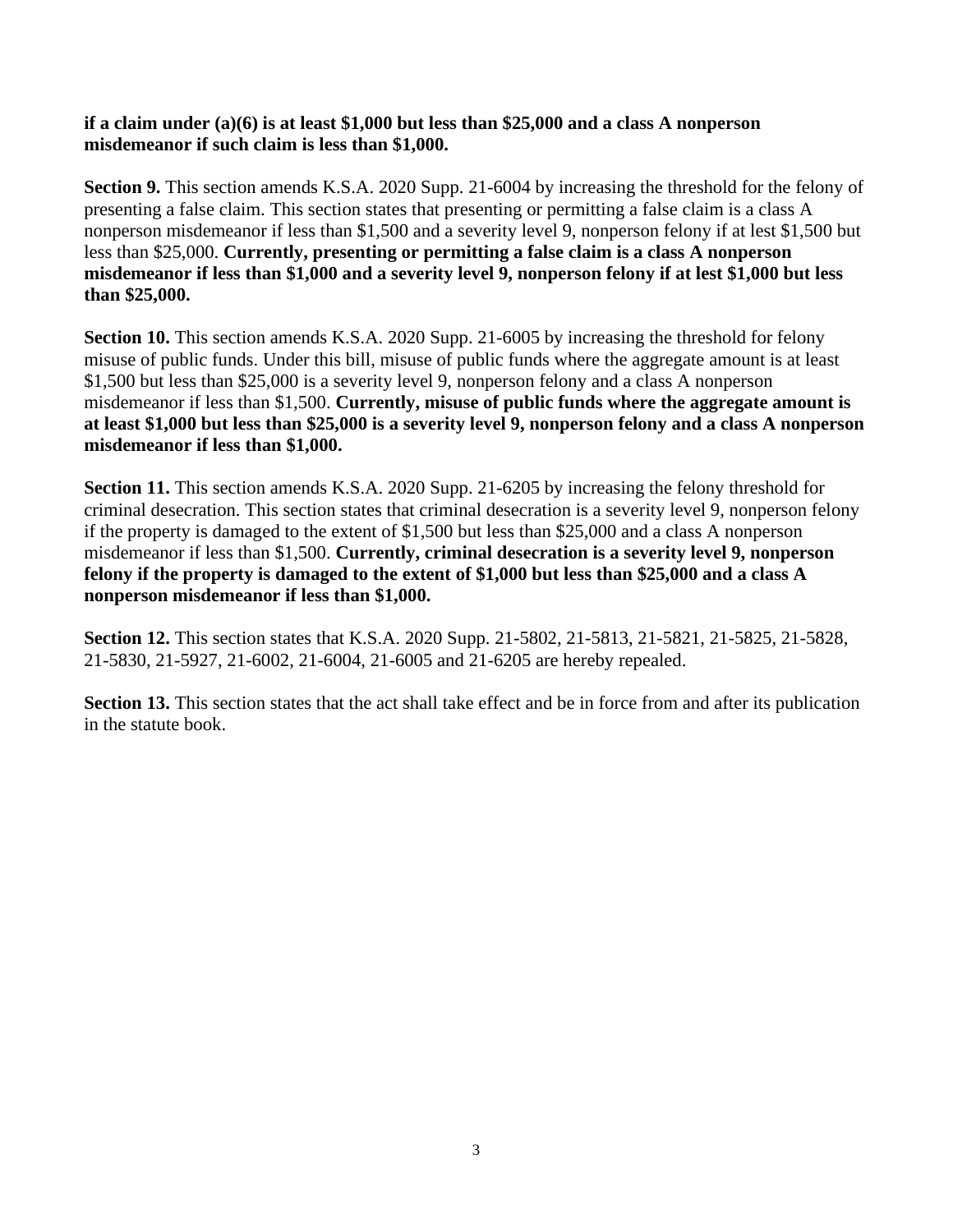### **if a claim under (a)(6) is at least \$1,000 but less than \$25,000 and a class A nonperson misdemeanor if such claim is less than \$1,000.**

**Section 9.** This section amends K.S.A. 2020 Supp. 21-6004 by increasing the threshold for the felony of presenting a false claim. This section states that presenting or permitting a false claim is a class A nonperson misdemeanor if less than \$1,500 and a severity level 9, nonperson felony if at lest \$1,500 but less than \$25,000. **Currently, presenting or permitting a false claim is a class A nonperson misdemeanor if less than \$1,000 and a severity level 9, nonperson felony if at lest \$1,000 but less than \$25,000.** 

**Section 10.** This section amends K.S.A. 2020 Supp. 21-6005 by increasing the threshold for felony misuse of public funds. Under this bill, misuse of public funds where the aggregate amount is at least \$1,500 but less than \$25,000 is a severity level 9, nonperson felony and a class A nonperson misdemeanor if less than \$1,500. **Currently, misuse of public funds where the aggregate amount is at least \$1,000 but less than \$25,000 is a severity level 9, nonperson felony and a class A nonperson misdemeanor if less than \$1,000.**

**Section 11.** This section amends K.S.A. 2020 Supp. 21-6205 by increasing the felony threshold for criminal desecration. This section states that criminal desecration is a severity level 9, nonperson felony if the property is damaged to the extent of \$1,500 but less than \$25,000 and a class A nonperson misdemeanor if less than \$1,500. **Currently, criminal desecration is a severity level 9, nonperson felony if the property is damaged to the extent of \$1,000 but less than \$25,000 and a class A nonperson misdemeanor if less than \$1,000.**

**Section 12.** This section states that K.S.A. 2020 Supp. 21-5802, 21-5813, 21-5821, 21-5825, 21-5828, 21-5830, 21-5927, 21-6002, 21-6004, 21-6005 and 21-6205 are hereby repealed.

**Section 13.** This section states that the act shall take effect and be in force from and after its publication in the statute book.